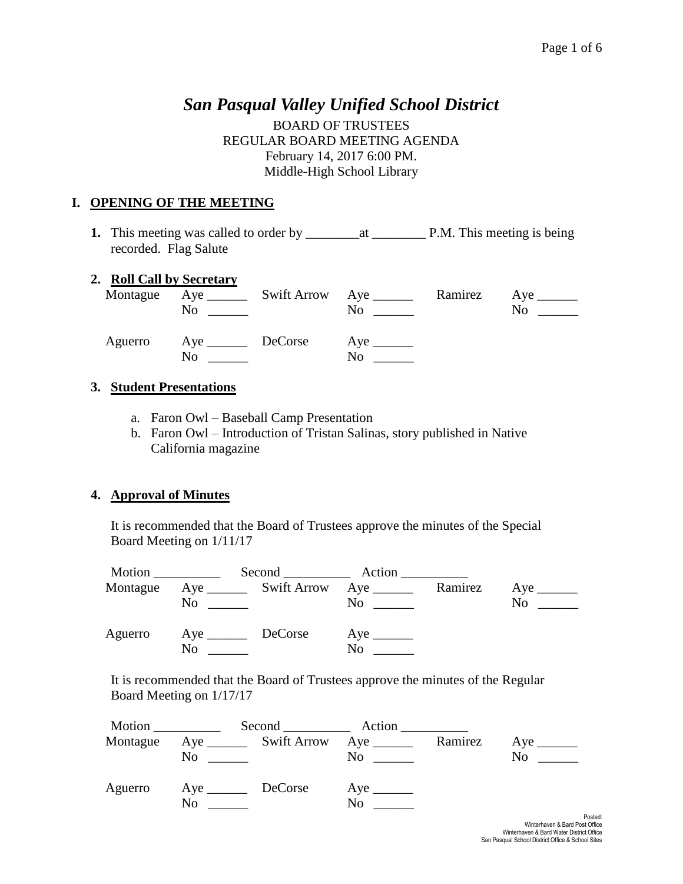# *San Pasqual Valley Unified School District*

BOARD OF TRUSTEES REGULAR BOARD MEETING AGENDA February 14, 2017 6:00 PM. Middle-High School Library

### **I. OPENING OF THE MEETING**

**1.** This meeting was called to order by \_\_\_\_\_\_\_\_at \_\_\_\_\_\_\_\_ P.M. This meeting is being recorded. Flag Salute

#### **2. Roll Call by Secretary**

|         | N <sub>0</sub>    | Montague Aye _________ Swift Arrow Aye _______<br>$\rm No$ | Ramirez Aye ________<br>No. |
|---------|-------------------|------------------------------------------------------------|-----------------------------|
| Aguerro | Aye DeCorse<br>No | $Aye$ <sub>______</sub><br>No                              |                             |

#### **3. Student Presentations**

- a. Faron Owl Baseball Camp Presentation
- b. Faron Owl Introduction of Tristan Salinas, story published in Native California magazine

### **4. Approval of Minutes**

It is recommended that the Board of Trustees approve the minutes of the Special Board Meeting on 1/11/17

| Motion   |    |                                                                          | Second Action |         |    |
|----------|----|--------------------------------------------------------------------------|---------------|---------|----|
| Montague | No | Aye __________ Swift Arrow Aye ________<br><u> 1990 - John Barbara (</u> | No.           | Ramirez | No |
| Aguerro  | No | DeCorse                                                                  | No            |         |    |

It is recommended that the Board of Trustees approve the minutes of the Regular Board Meeting on 1/17/17

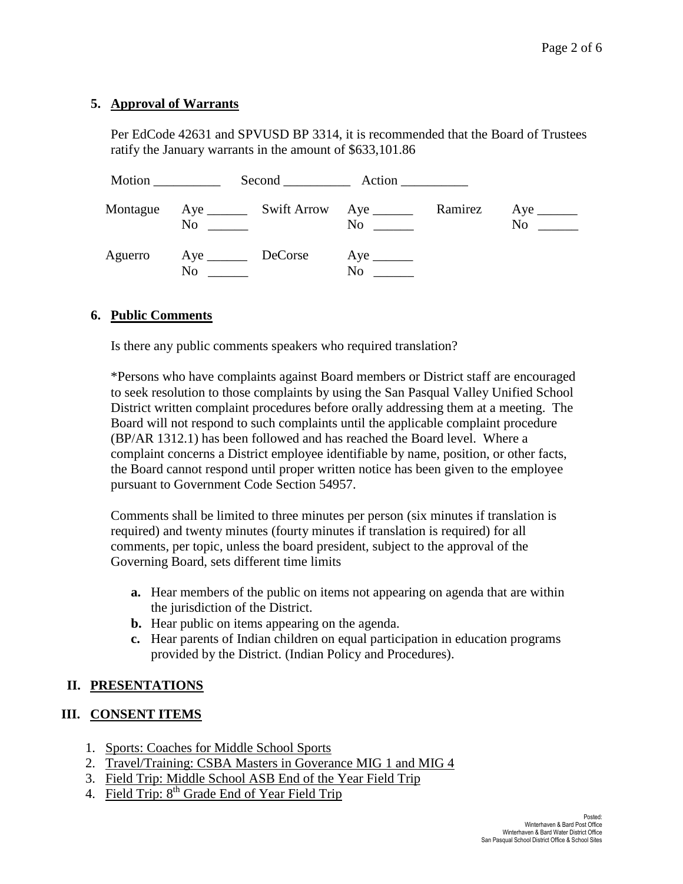### **5. Approval of Warrants**

Per EdCode 42631 and SPVUSD BP 3314, it is recommended that the Board of Trustees ratify the January warrants in the amount of \$633,101.86

| Motion   |                   |                |         |    |
|----------|-------------------|----------------|---------|----|
| Montague | No                | N <sub>0</sub> | Ramirez | No |
| Aguerro  | Aye DeCorse<br>No | N <sub>0</sub> |         |    |

#### **6. Public Comments**

Is there any public comments speakers who required translation?

\*Persons who have complaints against Board members or District staff are encouraged to seek resolution to those complaints by using the San Pasqual Valley Unified School District written complaint procedures before orally addressing them at a meeting. The Board will not respond to such complaints until the applicable complaint procedure (BP/AR 1312.1) has been followed and has reached the Board level. Where a complaint concerns a District employee identifiable by name, position, or other facts, the Board cannot respond until proper written notice has been given to the employee pursuant to Government Code Section 54957.

Comments shall be limited to three minutes per person (six minutes if translation is required) and twenty minutes (fourty minutes if translation is required) for all comments, per topic, unless the board president, subject to the approval of the Governing Board, sets different time limits

- **a.** Hear members of the public on items not appearing on agenda that are within the jurisdiction of the District.
- **b.** Hear public on items appearing on the agenda.
- **c.** Hear parents of Indian children on equal participation in education programs provided by the District. (Indian Policy and Procedures).

### **II. PRESENTATIONS**

### **III. CONSENT ITEMS**

- 1. Sports: Coaches for Middle School Sports
- 2. Travel/Training: CSBA Masters in Goverance MIG 1 and MIG 4
- 3. Field Trip: Middle School ASB End of the Year Field Trip
- 4. Field Trip: 8<sup>th</sup> Grade End of Year Field Trip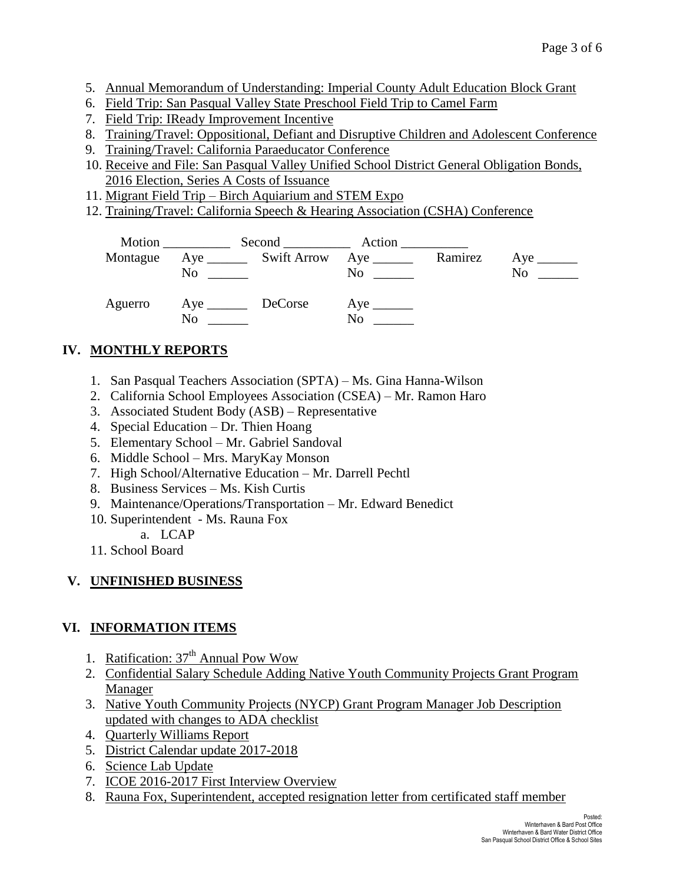- 5. Annual Memorandum of Understanding: Imperial County Adult Education Block Grant
- 6. Field Trip: San Pasqual Valley State Preschool Field Trip to Camel Farm
- 7. Field Trip: IReady Improvement Incentive
- 8. Training/Travel: Oppositional, Defiant and Disruptive Children and Adolescent Conference
- 9. Training/Travel: California Paraeducator Conference
- 10. Receive and File: San Pasqual Valley Unified School District General Obligation Bonds, 2016 Election, Series A Costs of Issuance
- 11. Migrant Field Trip Birch Aquiarium and STEM Expo
- 12. Training/Travel: California Speech & Hearing Association (CSHA) Conference

|          | Motion $\_\_$  | Second Action                                                        |         |    |
|----------|----------------|----------------------------------------------------------------------|---------|----|
| Montague | N <sub>0</sub> | $Aye$ <sub>______</sub><br>$\overline{N}$ o $\overline{\phantom{a}}$ | Ramirez | No |
| Aguerro  | N <sub>0</sub> | N <sub>0</sub>                                                       |         |    |

# **IV. MONTHLY REPORTS**

- 1. San Pasqual Teachers Association (SPTA) Ms. Gina Hanna-Wilson
- 2. California School Employees Association (CSEA) Mr. Ramon Haro
- 3. Associated Student Body (ASB) Representative
- 4. Special Education Dr. Thien Hoang
- 5. Elementary School Mr. Gabriel Sandoval
- 6. Middle School Mrs. MaryKay Monson
- 7. High School/Alternative Education Mr. Darrell Pechtl
- 8. Business Services Ms. Kish Curtis
- 9. Maintenance/Operations/Transportation Mr. Edward Benedict
- 10. Superintendent Ms. Rauna Fox
	- a. LCAP
- 11. School Board

# **V. UNFINISHED BUSINESS**

# **VI. INFORMATION ITEMS**

- 1. Ratification:  $37<sup>th</sup>$  Annual Pow Wow
- 2. Confidential Salary Schedule Adding Native Youth Community Projects Grant Program Manager
- 3. Native Youth Community Projects (NYCP) Grant Program Manager Job Description updated with changes to ADA checklist
- 4. Quarterly Williams Report
- 5. District Calendar update 2017-2018
- 6. Science Lab Update
- 7. ICOE 2016-2017 First Interview Overview
- 8. Rauna Fox, Superintendent, accepted resignation letter from certificated staff member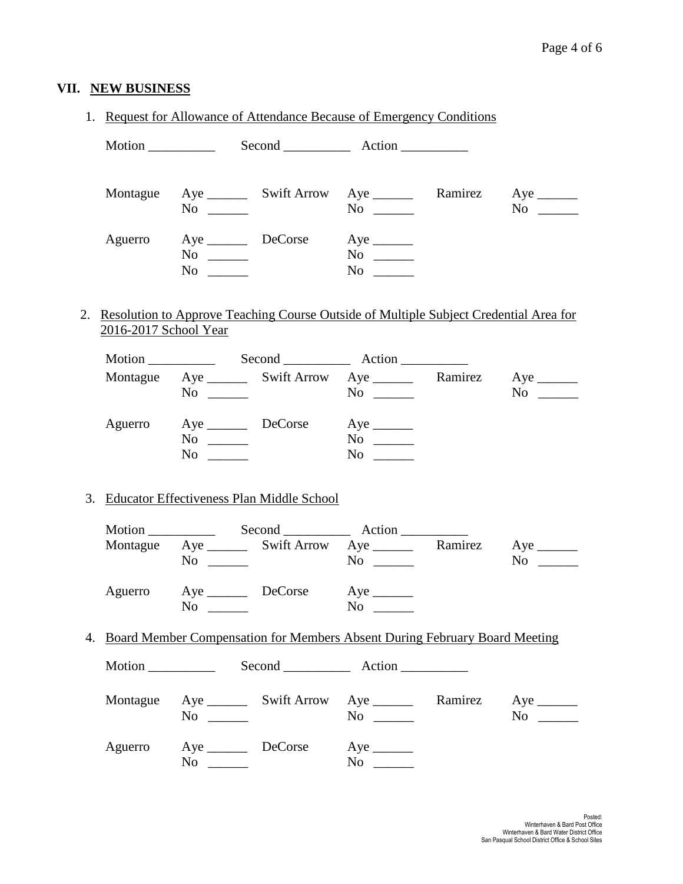# **VII. NEW BUSINESS**

#### 1. Request for Allowance of Attendance Because of Emergency Conditions

| Motion   |                             | Second <u>second</u>  |                                                                                                                                                                                                                                                                                                                                                                                                                                                                                                     |         |                |
|----------|-----------------------------|-----------------------|-----------------------------------------------------------------------------------------------------------------------------------------------------------------------------------------------------------------------------------------------------------------------------------------------------------------------------------------------------------------------------------------------------------------------------------------------------------------------------------------------------|---------|----------------|
| Montague | N <sub>0</sub>              |                       | No                                                                                                                                                                                                                                                                                                                                                                                                                                                                                                  | Ramirez | N <sub>o</sub> |
| Aguerro  | $No \ \_$<br>N <sub>o</sub> | Aye _________ DeCorse | $Aye$ <sub>________</sub><br>No new years of the New York of the New York of the New York of the New York of the New York of the New York o<br>New York of the New York of the New York of the New York of the New York of the New York of the New York of the<br>No new years of the New York of the New York of the New York of the New York of the New York of the New York o<br>New York of the New York of the New York of the New York of the New York of the New York of the New York of the |         |                |

### 2. Resolution to Approve Teaching Course Outside of Multiple Subject Credential Area for 2016-2017 School Year

| Motion $\_\_$ |          | Second Action                                                |                                        |         |                |
|---------------|----------|--------------------------------------------------------------|----------------------------------------|---------|----------------|
| Montague      | No       | Aye __________ Swift Arrow Aye _______                       | $\overline{N}$ $\overline{\phantom{a}$ | Ramirez | N <sub>0</sub> |
| Aguerro       | No<br>No | and the state of the state.<br>the company of the company of | N <sub>0</sub><br>$No \ \_$            |         |                |

#### 3. Educator Effectiveness Plan Middle School

| Motion $\_\_$ |                                      |                                       | Second Action |         |    |
|---------------|--------------------------------------|---------------------------------------|---------------|---------|----|
| Montague      | N <sub>0</sub>                       | Aye _________ Swift Arrow Aye _______ | No            | Ramirez | No |
| Aguerro       | Aye <u>DeCorse</u><br>N <sub>0</sub> |                                       | No            |         |    |

#### 4. Board Member Compensation for Members Absent During February Board Meeting

| Motion $\frac{\ }{\ }$ |                                                      |                                                                                                                             |         |                |
|------------------------|------------------------------------------------------|-----------------------------------------------------------------------------------------------------------------------------|---------|----------------|
| Montague               | No                                                   | No<br><u> 1999 - Jan Sterlingen i Sterlingen i Sterlingen i Sterlingen i Sterlingen i Sterlingen i Sterlingen i Sterlin</u> | Ramirez | N <sub>0</sub> |
| Aguerro                | Aye DeCorse<br>N <sub>0</sub><br>and the same of the | No                                                                                                                          |         |                |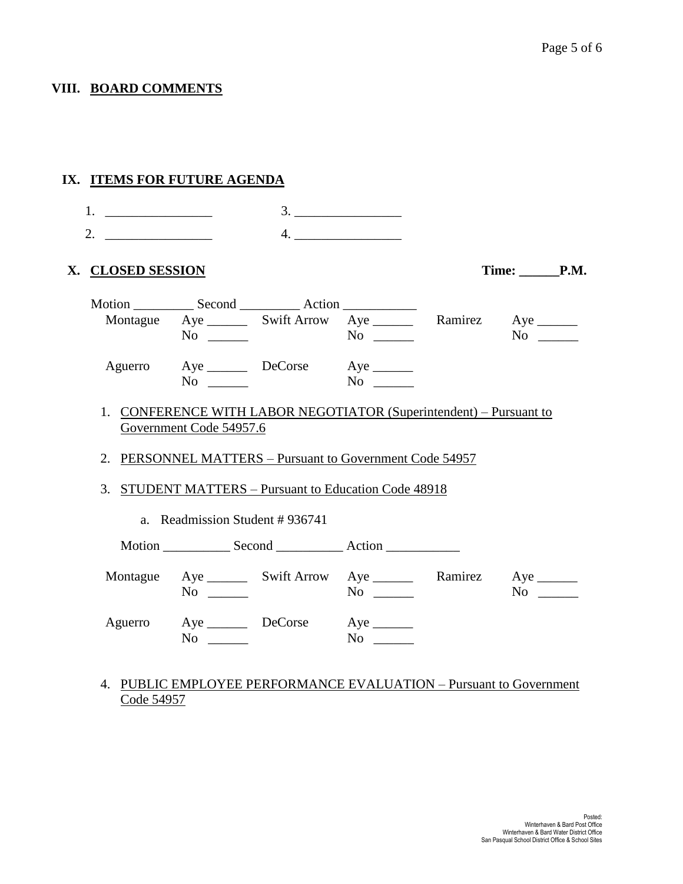# **VIII. BOARD COMMENTS**

|                    | IX. ITEMS FOR FUTURE AGENDA                                                                   |           |            |
|--------------------|-----------------------------------------------------------------------------------------------|-----------|------------|
| 2. $\qquad \qquad$ |                                                                                               | 4.        |            |
| X. CLOSED SESSION  |                                                                                               |           | Time: P.M. |
|                    | Montague Aye ________ Swift Arrow Aye ________ Ramirez Aye _______                            |           |            |
|                    | $No \ \_$                                                                                     | $No \ \_$ | $No \t —$  |
|                    | Aguerro Aye DeCorse Aye _______<br>$No \ \_$                                                  |           |            |
|                    | 1. CONFERENCE WITH LABOR NEGOTIATOR (Superintendent) – Pursuant to<br>Government Code 54957.6 |           |            |
|                    | 2. PERSONNEL MATTERS - Pursuant to Government Code 54957                                      |           |            |
|                    | 3. STUDENT MATTERS - Pursuant to Education Code 48918                                         |           |            |
|                    | a. Readmission Student #936741                                                                |           |            |
|                    |                                                                                               |           |            |
|                    | Montague Aye ________ Swift Arrow Aye _________ Ramirez Aye ________<br>$No \ \_$             | $No \ \_$ | $No \t —$  |
| Aguerro            | Aye DeCorse Aye<br>$No \ \_$                                                                  | $No \ \_$ |            |

4. PUBLIC EMPLOYEE PERFORMANCE EVALUATION – Pursuant to Government Code 54957